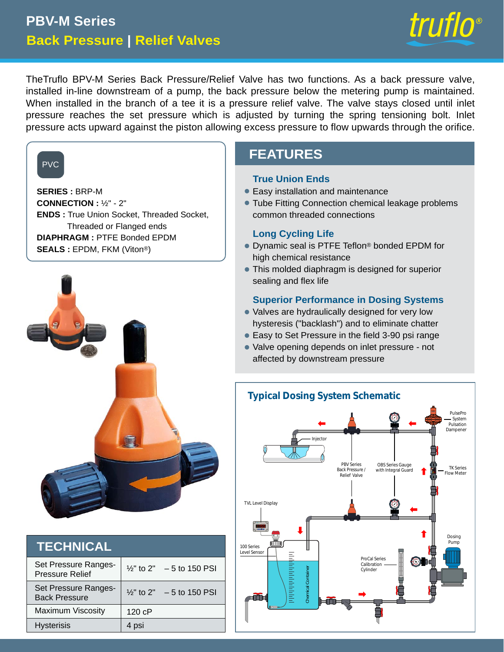# **Back Pressure | Relief Valves PBV-M Series**



TheTruflo BPV-M Series Back Pressure/Relief Valve has two functions. As a back pressure valve, installed in-line downstream of a pump, the back pressure below the metering pump is maintained. When installed in the branch of a tee it is a pressure relief valve. The valve stays closed until inlet pressure reaches the set pressure which is adjusted by turning the spring tensioning bolt. Inlet pressure acts upward against the piston allowing excess pressure to flow upwards through the orifice.

## PVC

**SERIES :** BRP-M **CONNECTION :** ½" - 2" **ENDS :** True Union Socket, Threaded Socket, Threaded or Flanged ends **DIAPHRAGM :** PTFE Bonded EPDM **SEALS :** EPDM, FKM (Viton®)



| <b>TECHNICAL</b>                               |                                      |
|------------------------------------------------|--------------------------------------|
| Set Pressure Ranges-<br><b>Pressure Relief</b> | $\frac{1}{2}$ " to 2" – 5 to 150 PSI |
| Set Pressure Ranges-<br><b>Back Pressure</b>   | $\frac{1}{2}$ " to 2" - 5 to 150 PSI |
| <b>Maximum Viscosity</b>                       | 120 cP                               |
| <b>Hysterisis</b>                              | 4 psi                                |

## **FEATURES**

#### **True Union Ends**

- Easy installation and maintenance •
- Tube Fitting Connection chemical leakage problems common threaded connections

### **Long Cycling Life**

- $\bullet$  Dynamic seal is PTFE Teflon® bonded EPDM for high chemical resistance
- $\bullet$  This molded diaphragm is designed for superior sealing and flex life

### **Superior Performance in Dosing Systems**

- Valves are hydraulically designed for very low hysteresis ("backlash") and to eliminate chatter
- Easy to Set Pressure in the field 3-90 psi range
- Valve opening depends on inlet pressure not affected by downstream pressure